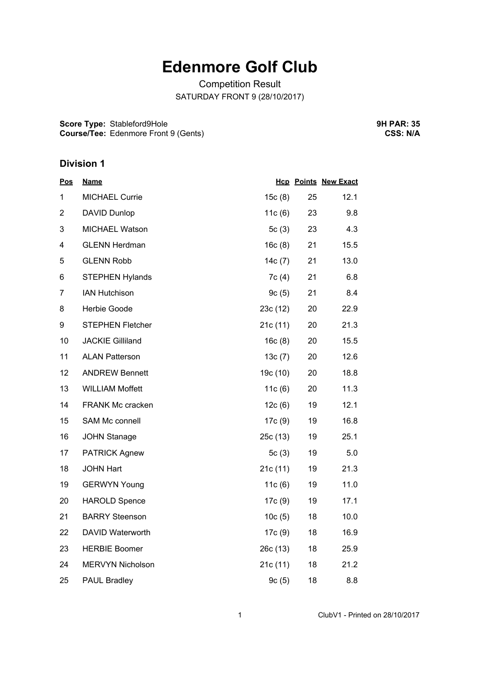## **Edenmore Golf Club**

Competition Result SATURDAY FRONT 9 (28/10/2017)

**Score Type:** Stableford9Hole **Course/Tee:** Edenmore Front 9 (Gents) **9H PAR: 35 CSS: N/A**

## **Division 1**

| <u>Pos</u>     | <b>Name</b>             |           |    | <b>Hcp Points New Exact</b> |
|----------------|-------------------------|-----------|----|-----------------------------|
| 1              | <b>MICHAEL Currie</b>   | 15c(8)    | 25 | 12.1                        |
| $\overline{2}$ | DAVID Dunlop            | 11c(6)    | 23 | 9.8                         |
| 3              | MICHAEL Watson          | 5c(3)     | 23 | 4.3                         |
| 4              | <b>GLENN Herdman</b>    | 16c(8)    | 21 | 15.5                        |
| 5              | <b>GLENN Robb</b>       | 14 $c(7)$ | 21 | 13.0                        |
| 6              | <b>STEPHEN Hylands</b>  | 7c(4)     | 21 | 6.8                         |
| 7              | <b>IAN Hutchison</b>    | 9c(5)     | 21 | 8.4                         |
| 8              | Herbie Goode            | 23c(12)   | 20 | 22.9                        |
| 9              | <b>STEPHEN Fletcher</b> | 21c(11)   | 20 | 21.3                        |
| 10             | <b>JACKIE Gilliland</b> | 16c(8)    | 20 | 15.5                        |
| 11             | <b>ALAN Patterson</b>   | 13c(7)    | 20 | 12.6                        |
| 12             | <b>ANDREW Bennett</b>   | 19c (10)  | 20 | 18.8                        |
| 13             | <b>WILLIAM Moffett</b>  | 11c(6)    | 20 | 11.3                        |
| 14             | FRANK Mc cracken        | 12c(6)    | 19 | 12.1                        |
| 15             | SAM Mc connell          | 17c(9)    | 19 | 16.8                        |
| 16             | <b>JOHN Stanage</b>     | 25c(13)   | 19 | 25.1                        |
| 17             | <b>PATRICK Agnew</b>    | 5 $c(3)$  | 19 | 5.0                         |
| 18             | <b>JOHN Hart</b>        | 21c(11)   | 19 | 21.3                        |
| 19             | <b>GERWYN Young</b>     | 11c(6)    | 19 | 11.0                        |
| 20             | <b>HAROLD Spence</b>    | 17c(9)    | 19 | 17.1                        |
| 21             | <b>BARRY Steenson</b>   | 10c(5)    | 18 | 10.0                        |
| 22             | DAVID Waterworth        | 17c(9)    | 18 | 16.9                        |
| 23             | <b>HERBIE Boomer</b>    | 26c(13)   | 18 | 25.9                        |
| 24             | MERVYN Nicholson        | 21c(11)   | 18 | 21.2                        |
| 25             | PAUL Bradley            | 9c(5)     | 18 | 8.8                         |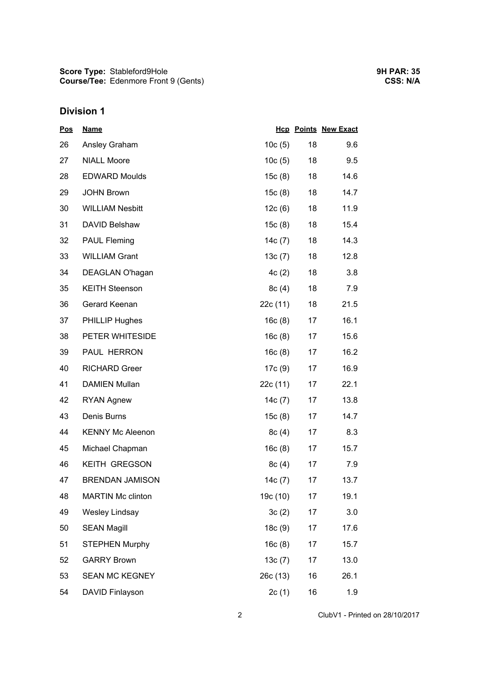## **Division 1**

| <b>Pos</b> | <b>Name</b>              |          |                 | <b>Hcp Points New Exact</b> |
|------------|--------------------------|----------|-----------------|-----------------------------|
| 26         | Ansley Graham            | 10c(5)   | 18              | 9.6                         |
| 27         | <b>NIALL Moore</b>       | 10c(5)   | 18              | 9.5                         |
| 28         | <b>EDWARD Moulds</b>     | 15c(8)   | 18              | 14.6                        |
| 29         | <b>JOHN Brown</b>        | 15c(8)   | 18              | 14.7                        |
| 30         | <b>WILLIAM Nesbitt</b>   | 12c(6)   | 18              | 11.9                        |
| 31         | DAVID Belshaw            | 15c(8)   | 18              | 15.4                        |
| 32         | <b>PAUL Fleming</b>      | 14c(7)   | 18              | 14.3                        |
| 33         | <b>WILLIAM Grant</b>     | 13c(7)   | 18              | 12.8                        |
| 34         | DEAGLAN O'hagan          | 4c(2)    | 18              | 3.8                         |
| 35         | <b>KEITH Steenson</b>    | 8c(4)    | 18              | 7.9                         |
| 36         | Gerard Keenan            | 22c(11)  | 18              | 21.5                        |
| 37         | <b>PHILLIP Hughes</b>    | 16c(8)   | 17 <sub>1</sub> | 16.1                        |
| 38         | PETER WHITESIDE          | 16c(8)   | 17              | 15.6                        |
| 39         | PAUL HERRON              | 16c(8)   | 17              | 16.2                        |
| 40         | <b>RICHARD Greer</b>     | 17c (9)  | 17 <sub>1</sub> | 16.9                        |
| 41         | <b>DAMIEN Mullan</b>     | 22c(11)  | 17              | 22.1                        |
| 42         | <b>RYAN Agnew</b>        | 14c(7)   | 17              | 13.8                        |
| 43         | Denis Burns              | 15c(8)   | 17              | 14.7                        |
| 44         | <b>KENNY Mc Aleenon</b>  | 8c(4)    | 17              | 8.3                         |
| 45         | Michael Chapman          | 16c(8)   | 17              | 15.7                        |
| 46         | KEITH GREGSON            | 8c(4)    | 17              | 7.9                         |
| 47         | <b>BRENDAN JAMISON</b>   | 14c(7)   | 17              | 13.7                        |
| 48         | <b>MARTIN Mc clinton</b> | 19c (10) | 17              | 19.1                        |
| 49         | <b>Wesley Lindsay</b>    | 3c(2)    | 17              | 3.0                         |
| 50         | <b>SEAN Magill</b>       | 18c (9)  | 17              | 17.6                        |
| 51         | <b>STEPHEN Murphy</b>    | 16c(8)   | 17              | 15.7                        |
| 52         | <b>GARRY Brown</b>       | 13c(7)   | 17              | 13.0                        |
| 53         | SEAN MC KEGNEY           | 26c(13)  | 16              | 26.1                        |
| 54         | DAVID Finlayson          | 2c(1)    | 16              | 1.9                         |